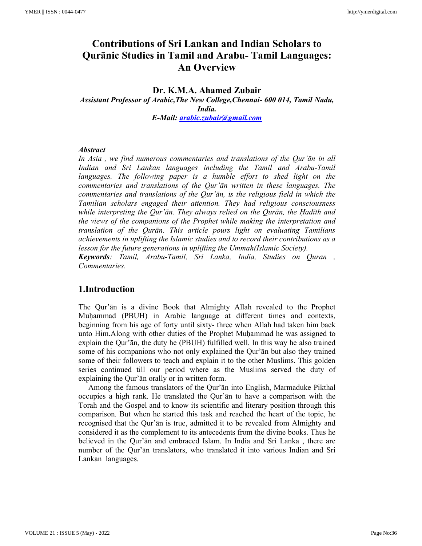# **Contributions of Sri Lankan and Indian Scholars to Qurānic Studies in Tamil and Arabu- Tamil Languages: An Overview**

### **Dr. K.M.A. Ahamed Zubair**  *Assistant Professor of Arabic,The New College,Chennai- 600 014, Tamil Nadu, India. E-Mail: arabic.zubair@gmail.com*

### *Abstract*

*In Asia , we find numerous commentaries and translations of the Qur'ān in all Indian and Sri Lankan languages including the Tamil and Arabu-Tamil languages. The following paper is a humble effort to shed light on the commentaries and translations of the Qur'ān written in these languages. The commentaries and translations of the Qur'ān, is the religious field in which the Tamilian scholars engaged their attention. They had religious consciousness while interpreting the Qur'ān. They always relied on the Qurān, the Ḥadīth and the views of the companions of the Prophet while making the interpretation and translation of the Qurān. This article pours light on evaluating Tamilians achievements in uplifting the Islamic studies and to record their contributions as a lesson for the future generations in uplifting the Ummah(Islamic Society).* 

*Keywords: Tamil, Arabu-Tamil, Sri Lanka, India, Studies on Quran , Commentaries.* 

### **1.Introduction**

The Qur'ān is a divine Book that Almighty Allah revealed to the Prophet Muḥammad (PBUH) in Arabic language at different times and contexts, beginning from his age of forty until sixty- three when Allah had taken him back unto Him.Along with other duties of the Prophet Muḥammad he was assigned to explain the Qur'ān, the duty he (PBUH) fulfilled well. In this way he also trained some of his companions who not only explained the Qur'ān but also they trained some of their followers to teach and explain it to the other Muslims. This golden series continued till our period where as the Muslims served the duty of explaining the Qur'ān orally or in written form.

 Among the famous translators of the Qur'ān into English, Marmaduke Pikthal occupies a high rank. He translated the Qur'ān to have a comparison with the Torah and the Gospel and to know its scientific and literary position through this comparison. But when he started this task and reached the heart of the topic, he recognised that the Qur'ān is true, admitted it to be revealed from Almighty and considered it as the complement to its antecedents from the divine books. Thus he believed in the Qur'ān and embraced Islam. In India and Sri Lanka , there are number of the Qur'ān translators, who translated it into various Indian and Sri Lankan languages.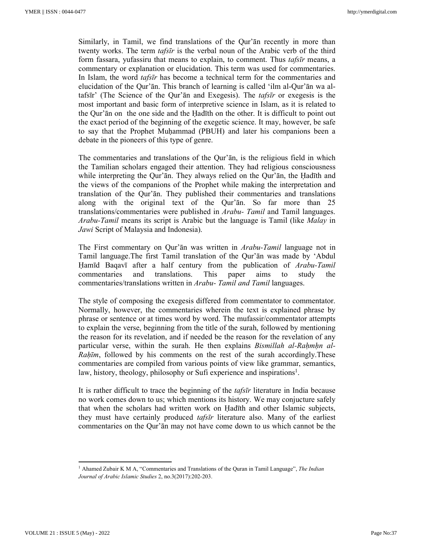Similarly, in Tamil, we find translations of the Qur'ān recently in more than twenty works. The term *tafsīr* is the verbal noun of the Arabic verb of the third form fassara, yufassiru that means to explain, to comment. Thus *tafsīr* means, a commentary or explanation or elucidation. This term was used for commentaries. In Islam, the word *tafsīr* has become a technical term for the commentaries and elucidation of the Qur'ān. This branch of learning is called 'ilm al-Qur'ān wa altafsīr' (The Science of the Qur'ān and Exegesis). The *tafsīr* or exegesis is the most important and basic form of interpretive science in Islam, as it is related to the Qur'ān on the one side and the Ḥadīth on the other. It is difficult to point out the exact period of the beginning of the exegetic science. It may, however, be safe to say that the Prophet Muḥammad (PBUH) and later his companions been a debate in the pioneers of this type of genre.

The commentaries and translations of the Qur'ān, is the religious field in which the Tamilian scholars engaged their attention. They had religious consciousness while interpreting the Qur'ān. They always relied on the Qur'ān, the Hadīth and the views of the companions of the Prophet while making the interpretation and translation of the Qur'ān. They published their commentaries and translations along with the original text of the Qur'ān. So far more than 25 translations/commentaries were published in *Arabu- Tamil* and Tamil languages. *Arabu-Tamil* means its script is Arabic but the language is Tamil (like *Malay* in *Jawi* Script of Malaysia and Indonesia).

The First commentary on Qur'ān was written in *Arabu-Tamil* language not in Tamil language.The first Tamil translation of the Qur'ān was made by 'Abdul Ḥamīd Baqavī after a half century from the publication of *Arabu-Tamil*  commentaries and translations. This paper aims to study the commentaries/translations written in *Arabu- Tamil and Tamil* languages.

The style of composing the exegesis differed from commentator to commentator. Normally, however, the commentaries wherein the text is explained phrase by phrase or sentence or at times word by word. The mufassir/commentator attempts to explain the verse, beginning from the title of the surah, followed by mentioning the reason for its revelation, and if needed be the reason for the revelation of any particular verse, within the surah. He then explains *Bismillah al-Rahmhn al-Rahīm*, followed by his comments on the rest of the surah accordingly. These commentaries are compiled from various points of view like grammar, semantics, law, history, theology, philosophy or Sufi experience and inspirations<sup>1</sup>.

It is rather difficult to trace the beginning of the *tafsīr* literature in India because no work comes down to us; which mentions its history. We may conjucture safely that when the scholars had written work on Ḥadīth and other Islamic subjects, they must have certainly produced *tafsīr* literature also. Many of the earliest commentaries on the Qur'ān may not have come down to us which cannot be the

<sup>1</sup> Ahamed Zubair K M A, "Commentaries and Translations of the Quran in Tamil Language", *The Indian Journal of Arabic Islamic Studies* 2, no.3(2017):202-203.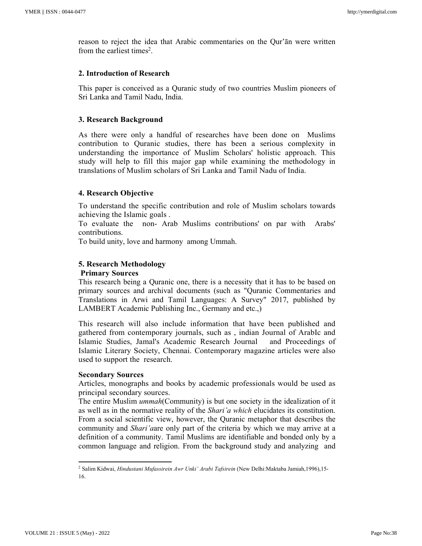reason to reject the idea that Arabic commentaries on the Qur'ān were written from the earliest times<sup>2</sup>.

### **2. Introduction of Research**

This paper is conceived as a Quranic study of two countries Muslim pioneers of Sri Lanka and Tamil Nadu, India.

### **3. Research Background**

As there were only a handful of researches have been done on Muslims contribution to Quranic studies, there has been a serious complexity in understanding the importance of Muslim Scholars' holistic approach. This study will help to fill this major gap while examining the methodology in translations of Muslim scholars of Sri Lanka and Tamil Nadu of India.

### **4. Research Objective**

To understand the specific contribution and role of Muslim scholars towards achieving the Islamic goals .

To evaluate the non- Arab Muslims contributions' on par with Arabs' contributions.

To build unity, love and harmony among Ummah.

### **5. Research Methodology**

### **Primary Sources**

This research being a Quranic one, there is a necessity that it has to be based on primary sources and archival documents (such as "Quranic Commentaries and Translations in Arwi and Tamil Languages: A Survey" 2017, published by LAMBERT Academic Publishing Inc., Germany and etc.,)

This research will also include information that have been published and gathered from contemporary journals, such as , indian Journal of ArabIc and Islamic Studies, Jamal's Academic Research Journal and Proceedings of Islamic Literary Society, Chennai. Contemporary magazine articles were also used to support the research.

### **Secondary Sources**

Articles, monographs and books by academic professionals would be used as principal secondary sources.

The entire Muslim *ummah*(Community) is but one society in the idealization of it as well as in the normative reality of the *Shari'a which* elucidates its constitution. From a social scientific view, however, the Quranic metaphor that describes the community and *Shari'a*are only part of the criteria by which we may arrive at a definition of a community. Tamil Muslims are identifiable and bonded only by a common language and religion. From the background study and analyzing and

<sup>2</sup> Salim Kidwai, *Hindustani Mufassirein Awr Unki' Arabi Tafsirein* (New Delhi:Maktaba Jamiah,1996),15- 16.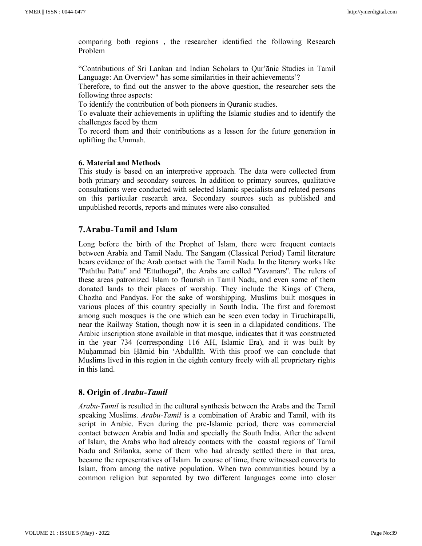comparing both regions , the researcher identified the following Research Problem

"Contributions of Sri Lankan and Indian Scholars to Qur'ānic Studies in Tamil Language: An Overview" has some similarities in their achievements'?

Therefore, to find out the answer to the above question, the researcher sets the following three aspects:

To identify the contribution of both pioneers in Quranic studies.

To evaluate their achievements in uplifting the Islamic studies and to identify the challenges faced by them

To record them and their contributions as a lesson for the future generation in uplifting the Ummah.

### **6. Material and Methods**

This study is based on an interpretive approach. The data were collected from both primary and secondary sources. In addition to primary sources, qualitative consultations were conducted with selected Islamic specialists and related persons on this particular research area. Secondary sources such as published and unpublished records, reports and minutes were also consulted

### **7.Arabu-Tamil and Islam**

Long before the birth of the Prophet of Islam, there were frequent contacts between Arabia and Tamil Nadu. The Sangam (Classical Period) Tamil literature bears evidence of the Arab contact with the Tamil Nadu. In the literary works like ''Paththu Pattu'' and ''Ettuthogai'', the Arabs are called ''Yavanars''. The rulers of these areas patronized Islam to flourish in Tamil Nadu, and even some of them donated lands to their places of worship. They include the Kings of Chera, Chozha and Pandyas. For the sake of worshipping, Muslims built mosques in various places of this country specially in South India. The first and foremost among such mosques is the one which can be seen even today in Tiruchirapalli, near the Railway Station, though now it is seen in a dilapidated conditions. The Arabic inscription stone available in that mosque, indicates that it was constructed in the year 734 (corresponding 116 AH, Islamic Era), and it was built by Muḥammad bin Ḥāmid bin 'Abdullāh. With this proof we can conclude that Muslims lived in this region in the eighth century freely with all proprietary rights in this land.

### **8. Origin of** *Arabu-Tamil*

*Arabu-Tamil* is resulted in the cultural synthesis between the Arabs and the Tamil speaking Muslims. *Arabu-Tamil* is a combination of Arabic and Tamil, with its script in Arabic. Even during the pre-Islamic period, there was commercial contact between Arabia and India and specially the South India. After the advent of Islam, the Arabs who had already contacts with the coastal regions of Tamil Nadu and Srilanka, some of them who had already settled there in that area, became the representatives of Islam. In course of time, there witnessed converts to Islam, from among the native population. When two communities bound by a common religion but separated by two different languages come into closer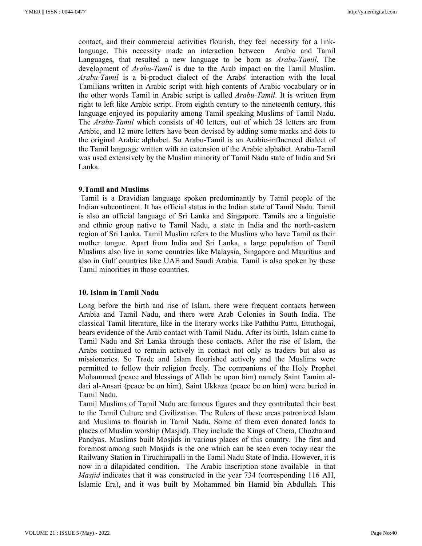contact, and their commercial activities flourish, they feel necessity for a linklanguage. This necessity made an interaction between Arabic and Tamil Languages, that resulted a new language to be born as *Arabu-Tamil*. The development of *Arabu-Tamil* is due to the Arab impact on the Tamil Muslim. *Arabu-Tamil* is a bi-product dialect of the Arabs' interaction with the local Tamilians written in Arabic script with high contents of Arabic vocabulary or in the other words Tamil in Arabic script is called *Arabu-Tamil*. It is written from right to left like Arabic script. From eighth century to the nineteenth century, this language enjoyed its popularity among Tamil speaking Muslims of Tamil Nadu. The *Arabu-Tamil* which consists of 40 letters, out of which 28 letters are from Arabic, and 12 more letters have been devised by adding some marks and dots to the original Arabic alphabet. So Arabu-Tamil is an Arabic-influenced dialect of the Tamil language written with an extension of the Arabic alphabet. Arabu-Tamil was used extensively by the Muslim minority of Tamil Nadu state of India and Sri Lanka.

### **9.Tamil and Muslims**

 Tamil is a Dravidian language spoken predominantly by Tamil people of the Indian subcontinent. It has official status in the Indian state of Tamil Nadu. Tamil is also an official language of Sri Lanka and Singapore. Tamils are a linguistic and ethnic group native to Tamil Nadu, a state in India and the north-eastern region of Sri Lanka. Tamil Muslim refers to the Muslims who have Tamil as their mother tongue. Apart from India and Sri Lanka, a large population of Tamil Muslims also live in some countries like Malaysia, Singapore and Mauritius and also in Gulf countries like UAE and Saudi Arabia. Tamil is also spoken by these Tamil minorities in those countries.

### **10. Islam in Tamil Nadu**

Long before the birth and rise of Islam, there were frequent contacts between Arabia and Tamil Nadu, and there were Arab Colonies in South India. The classical Tamil literature, like in the literary works like Paththu Pattu, Ettuthogai, bears evidence of the Arab contact with Tamil Nadu. After its birth, Islam came to Tamil Nadu and Sri Lanka through these contacts. After the rise of Islam, the Arabs continued to remain actively in contact not only as traders but also as missionaries. So Trade and Islam flourished actively and the Muslims were permitted to follow their religion freely. The companions of the Holy Prophet Mohammed (peace and blessings of Allah be upon him) namely Saint Tamim aldari al-Ansari (peace be on him), Saint Ukkaza (peace be on him) were buried in Tamil Nadu.

Tamil Muslims of Tamil Nadu are famous figures and they contributed their best to the Tamil Culture and Civilization. The Rulers of these areas patronized Islam and Muslims to flourish in Tamil Nadu. Some of them even donated lands to places of Muslim worship (Masjid). They include the Kings of Chera, Chozha and Pandyas. Muslims built Mosjids in various places of this country. The first and foremost among such Mosjids is the one which can be seen even today near the Railwany Station in Tiruchirapalli in the Tamil Nadu State of India. However, it is now in a dilapidated condition. The Arabic inscription stone available in that *Masjid* indicates that it was constructed in the year 734 (corresponding 116 AH, Islamic Era), and it was built by Mohammed bin Hamid bin Abdullah. This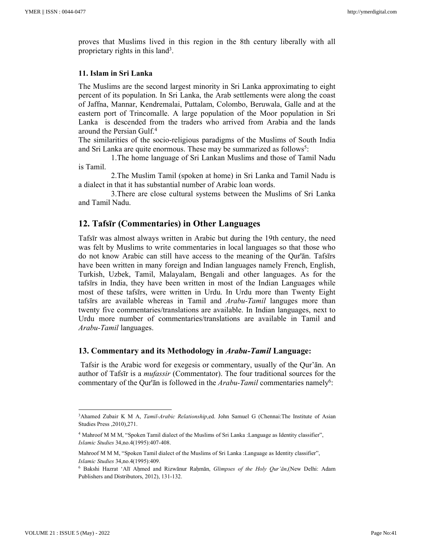proves that Muslims lived in this region in the 8th century liberally with all proprietary rights in this land<sup>3</sup>.

#### **11. Islam in Sri Lanka**

The Muslims are the second largest minority in Sri Lanka approximating to eight percent of its population. In Sri Lanka, the Arab settlements were along the coast of Jaffna, Mannar, Kendremalai, Puttalam, Colombo, Beruwala, Galle and at the eastern port of Trincomalle. A large population of the Moor population in Sri Lanka is descended from the traders who arrived from Arabia and the lands around the Persian Gulf.<sup>4</sup>

The similarities of the socio-religious paradigms of the Muslims of South India and Sri Lanka are quite enormous. These may be summarized as follows<sup>5</sup>:

 1.The home language of Sri Lankan Muslims and those of Tamil Nadu is Tamil.

 2.The Muslim Tamil (spoken at home) in Sri Lanka and Tamil Nadu is a dialect in that it has substantial number of Arabic loan words.

 3.There are close cultural systems between the Muslims of Sri Lanka and Tamil Nadu.

### **12. Tafsīr (Commentaries) in Other Languages**

Tafsīr was almost always written in Arabic but during the 19th century, the need was felt by Muslims to write commentaries in local languages so that those who do not know Arabic can still have access to the meaning of the Qur'ān. Tafsīrs have been written in many foreign and Indian languages namely French, English, Turkish, Uzbek, Tamil, Malayalam, Bengali and other languages. As for the tafsīrs in India, they have been written in most of the Indian Languages while most of these tafsīrs, were written in Urdu. In Urdu more than Twenty Eight tafsīrs are available whereas in Tamil and *Arabu-Tamil* languges more than twenty five commentaries/translations are available. In Indian languages, next to Urdu more number of commentaries/translations are available in Tamil and *Arabu-Tamil* languages.

### **13. Commentary and its Methodology in** *Arabu-Tamil* **Language:**

Tafsir is the Arabic word for exegesis or commentary, usually of the Qur'ān. An author of Tafsīr is a *mufassir* (Commentator). The four traditional sources for the commentary of the Qur'an is followed in the *Arabu-Tamil* commentaries namely<sup>6</sup>:

<u>.</u>

<sup>&</sup>lt;sup>3</sup>Ahamed Zubair K M A, *Tamil-Arabic Relationship*,ed. John Samuel G (Chennai:The Institute of Asian Studies Press ,2010),271.

<sup>4</sup> Mahroof M M M, "Spoken Tamil dialect of the Muslims of Sri Lanka :Language as Identity classifier", *Islamic Studies* 34,no.4(1995):407-408.

Mahroof M M M, "Spoken Tamil dialect of the Muslims of Sri Lanka :Language as Identity classifier", *Islamic Studies* 34,no.4(1995):409.

<sup>6</sup> Bakshi Hazrat 'Alī Aḥmed and Rizwānur Raḥmān, *Glimpses of the Holy Qur'ān*,(New Delhi: Adam Publishers and Distributors, 2012), 131-132.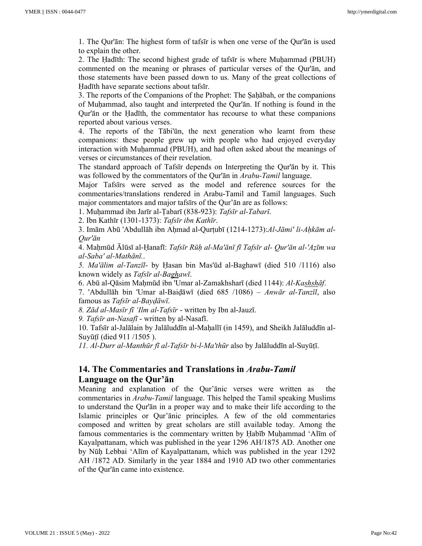1. The Qur'ān: The highest form of tafsīr is when one verse of the Qur'ān is used to explain the other.

2. The Hadīth: The second highest grade of tafsīr is where Muhammad (PBUH) commented on the meaning or phrases of particular verses of the Qur'ān, and those statements have been passed down to us. Many of the great collections of Ḥadīth have separate sections about tafsīr.

3. The reports of the Companions of the Prophet: The Ṣaḥābah, or the companions of Muḥammad, also taught and interpreted the Qur'ān. If nothing is found in the Qur'ān or the Ḥadīth, the commentator has recourse to what these companions reported about various verses.

4. The reports of the Tābi'ūn, the next generation who learnt from these companions: these people grew up with people who had enjoyed everyday interaction with Muhammad (PBUH), and had often asked about the meanings of verses or circumstances of their revelation.

The standard approach of Tafsīr depends on Interpreting the Qur'ān by it. This was followed by the commentators of the Qur'ān in *Arabu-Tamil* language.

Major Tafsīrs were served as the model and reference sources for the commentaries/translations rendered in Arabu-Tamil and Tamil languages. Such major commentators and major tafsīrs of the Qur'ān are as follows:

1. Muḥammad ibn Jarīr al-Ṭabarī (838-923): *Tafsīr al-Tabarī*.

2. Ibn Kathīr (1301-1373): *Tafsīr ibn Kathīr*.

3. Imām Abū 'Abdullāh ibn Aḥmad al-Qurṭubī (1214-1273):*Al-Jāmi' li-Aḥkām al-Qur'ān*

4. Maḥmūd Ālūsī al-Ḥanafī: *Tafsīr Rūḥ al-Ma'ānī fī Tafsīr al- Qur'ān al-'Aẓīm wa al-Saba' al-Mathānī.*.

*5. Ma'ālim al-Tanzīl*- by Ḥasan bin Mas'ūd al-Baghawī (died 510 /1116) also known widely as *Tafsīr al-Baghawī*.

6. Abū al-Qāsim Maḥmūd ibn 'Umar al-Zamakhsharī (died 1144): *Al-Kashshāf*.

7. 'Abdullāh bin 'Umar al-Baiḍāwī (died 685 /1086) – *Anwār al-Tanzīl*, also famous as *Tafsīr al-Bayḍāwī*.

*8. Zād al-Masīr fī 'Ilm al-Tafsīr* - written by Ibn al-Jauzī.

*9. Tafsīr an-Nasafī* - written by al-Nasafī.

10. Tafsīr al-Jalālain by Jalāluddīn al-Maḥallī (in 1459), and Sheikh Jalāluddīn al-Suyūṭī (died 911 /1505 ).

*11. Al-Durr al-Manthūr fī al-Tafsīr bi-l-Ma'thūr* also by Jalāluddīn al-Suyūṭī.

## **14. The Commentaries and Translations in** *Arabu-Tamil* **Language on the Qur'ān**

Meaning and explanation of the Qur'ānic verses were written as the commentaries in *Arabu-Tamil* language. This helped the Tamil speaking Muslims to understand the Qur'ān in a proper way and to make their life according to the Islamic principles or Qur'ānic principles. A few of the old commentaries composed and written by great scholars are still available today. Among the famous commentaries is the commentary written by Habīb Muḥammad 'Alīm of Kayalpattanam, which was published in the year 1296 AH/1875 AD. Another one by Nūḥ Lebbai 'Alīm of Kayalpattanam, which was published in the year 1292 AH /1872 AD. Similarly in the year 1884 and 1910 AD two other commentaries of the Qur'ān came into existence.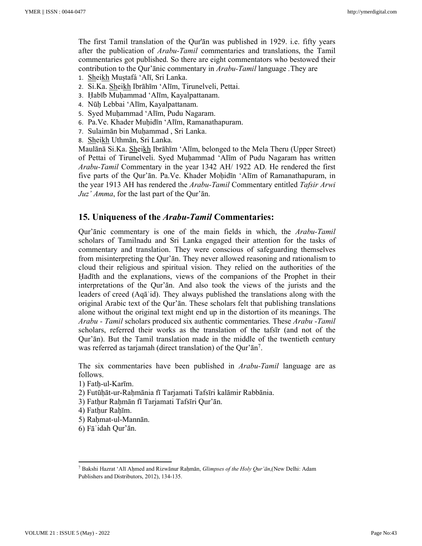The first Tamil translation of the Qur'ān was published in 1929. i.e. fifty years after the publication of *Arabu-Tamil* commentaries and translations, the Tamil commentaries got published. So there are eight commentators who bestowed their contribution to the Qur'ānic commentary in *Arabu-Tamil* language *.*They are

- 1. Sheikh Muṣtafá 'Alī, Sri Lanka.
- 2. Si.Ka. Sheikh Ibrāhīm 'Alīm, Tirunelveli, Pettai.
- 3. Ḥabīb Muḥammad 'Alīm, Kayalpattanam.
- 4. Nūḥ Lebbai 'Alīm, Kayalpattanam.
- 5. Syed Muḥammad 'Alīm, Pudu Nagaram.
- 6. Pa.Ve. Khader Muḥidīn 'Alīm, Ramanathapuram.
- 7. Sulaimān bin Muḥammad , Sri Lanka.
- 8. Sheikh Uthmān, Sri Lanka.

Maulānā Si.Ka. Sheikh Ibrāhīm 'Alīm, belonged to the Mela Theru (Upper Street) of Pettai of Tirunelveli. Syed Muḥammad 'Alīm of Pudu Nagaram has written *Arabu-Tamil* Commentary in the year 1342 AH/ 1922 AD. He rendered the first five parts of the Qur'ān. Pa.Ve. Khader Mohidīn 'Alīm of Ramanathapuram, in the year 1913 AH has rendered the *Arabu-Tamil* Commentary entitled *Tafsir Arwi Juz' Amma*, for the last part of the Qur'ān.

## **15. Uniqueness of the** *Arabu-Tamil* **Commentaries:**

Qur'ānic commentary is one of the main fields in which, the *Arabu-Tamil*  scholars of Tamilnadu and Sri Lanka engaged their attention for the tasks of commentary and translation. They were conscious of safeguarding themselves from misinterpreting the Qur'ān. They never allowed reasoning and rationalism to cloud their religious and spiritual vision. They relied on the authorities of the Ḥadīth and the explanations, views of the companions of the Prophet in their interpretations of the Qur'ān. And also took the views of the jurists and the leaders of creed (Aqāʾid). They always published the translations along with the original Arabic text of the Qur'ān. These scholars felt that publishing translations alone without the original text might end up in the distortion of its meanings. The *Arabu - Tamil* scholars produced six authentic commentaries. These *Arabu -Tamil*  scholars, referred their works as the translation of the tafsīr (and not of the Qur'ān). But the Tamil translation made in the middle of the twentieth century was referred as tarjamah (direct translation) of the Qur'ān<sup>7</sup> .

The six commentaries have been published in *Arabu-Tamil* language are as follows.

1) Fatḥ-ul-Karīm.

- 2) Futūḥāt-ur-Raḥmānia fī Tarjamati Tafsīri kalāmir Rabbānia.
- 3) Fatḥur Raḥmān fī Tarjamati Tafsīri Qur'ān.
- 4) Fathur Rahīm.
- 5) Rahmat-ul-Mannān.
- 6) Fāʾidah Qur'ān.

<sup>7</sup> Bakshi Hazrat 'Alī Aḥmed and Rizwānur Raḥmān, *Glimpses of the Holy Qur'ān*,(New Delhi: Adam Publishers and Distributors, 2012), 134-135.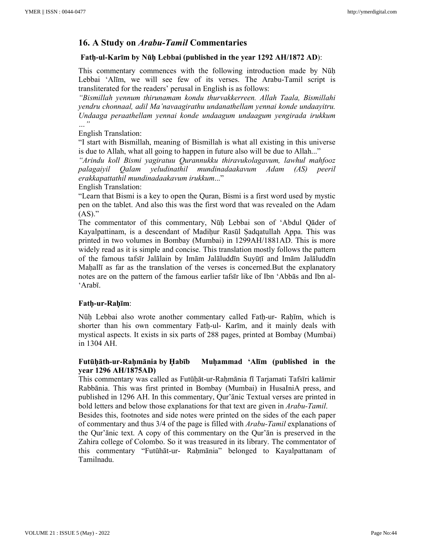## **16. A Study on** *Arabu-Tamil* **Commentaries**

### **Fatḥ-ul-Karīm by Nūḥ Lebbai (published in the year 1292 AH/1872 AD**):

This commentary commences with the following introduction made by Nūḥ Lebbai 'Alīm, we will see few of its verses. The Arabu-Tamil script is transliterated for the readers' perusal in English is as follows:

*"Bismillah yennum thirunamam kondu thurvakkerreen. Allah Taala, Bismillahi yendru chonnaal, adil Ma'navaagirathu undanathellam yennai konde undaayitru. Undaaga peraathellam yennai konde undaagum undaagum yengirada irukkum …"*

### English Translation:

"I start with Bismillah, meaning of Bismillah is what all existing in this universe is due to Allah, what all going to happen in future also will be due to Allah..."

*"Arindu koll Bismi yagiratuu Qurannukku thiravukolagavum, lawhul mahfooz palagaiyil Qalam yeludinathil mundinadaakavum Adam (AS) peeril erakkapattathil mundinadaakavum irukkum*..."

English Translation:

"Learn that Bismi is a key to open the Quran, Bismi is a first word used by mystic pen on the tablet. And also this was the first word that was revealed on the Adam  $(AS)$ ."

The commentator of this commentary, Nūḥ Lebbai son of 'Abdul Qāder of Kayalpattinam, is a descendant of Madihur Rasūl Sadqatullah Appa. This was printed in two volumes in Bombay (Mumbai) in 1299AH/1881AD. This is more widely read as it is simple and concise. This translation mostly follows the pattern of the famous tafsīr Jalālain by Imām Jalāluddīn Suyūṭī and Imām Jalāluddīn Mahall<sub>l</sub> as far as the translation of the verses is concerned. But the explanatory notes are on the pattern of the famous earlier tafsīr like of Ibn 'Abbās and Ibn al- 'Arabī.

### **Fatḥ-ur-Raḥīm**:

Nūh Lebbai also wrote another commentary called Fath-ur- Rahīm, which is shorter than his own commentary Fatḥ-ul- Karīm, and it mainly deals with mystical aspects. It exists in six parts of 288 pages, printed at Bombay (Mumbai) in 1304 AH.

### **Futūḥāth-ur-Raḥmānia by Ḥabīb Muḥammad 'Alīm (published in the year 1296 AH/1875AD)**

This commentary was called as Futūḥāt-ur-Raḥmānia fī Tarjamati Tafsīri kalāmir Rabbānia. This was first printed in Bombay (Mumbai) in HusaIniA press, and published in 1296 AH. In this commentary, Qur'ānic Textual verses are printed in bold letters and below those explanations for that text are given in *Arabu-Tamil*.

Besides this, footnotes and side notes were printed on the sides of the each paper of commentary and thus 3/4 of the page is filled with *Arabu-Tamil* explanations of the Qur'ānic text. A copy of this commentary on the Qur'ān is preserved in the Zahira college of Colombo. So it was treasured in its library. The commentator of this commentary "Futūhāt-ur- Raḥmānia" belonged to Kayalpattanam of Tamilnadu.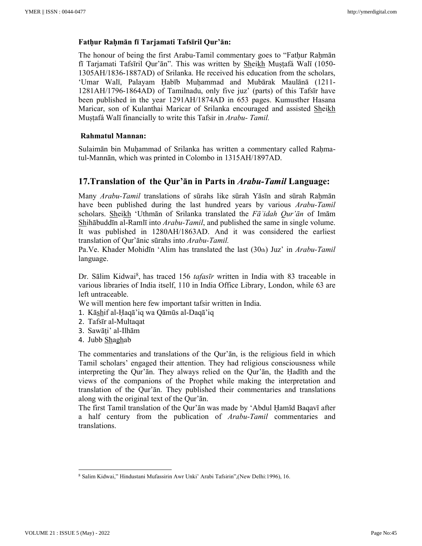### **Fatḥur Raḥmān fī Tarjamati Tafsīril Qur'ān:**

The honour of being the first Arabu-Tamil commentary goes to "Fathur Rahmān" fī Tarjamati Tafsīril Qur'ān". This was written by Sheikh Muṣṭafá Walī (1050- 1305AH/1836-1887AD) of Srilanka. He received his education from the scholars, 'Umar Walī, Palayam Ḥabīb Muḥammad and Mubārak Maulānā (1211- 1281AH/1796-1864AD) of Tamilnadu, only five juz' (parts) of this Tafsīr have been published in the year 1291AH/1874AD in 653 pages. Kumusther Hasana Maricar, son of Kulanthai Maricar of Srilanka encouraged and assisted Sheikh Muṣṭafá Walī financially to write this Tafsir in *Arabu- Tamil.* 

### **Rahmatul Mannan:**

Sulaimān bin Muhammad of Srilanka has written a commentary called Rahmatul-Mannān, which was printed in Colombo in 1315AH/1897AD.

## **17.Translation of the Qur'ān in Parts in** *Arabu-Tamil* **Language:**

Many *Arabu-Tamil* translations of sūrahs like sūrah Yāsīn and sūrah Rahmān have been published during the last hundred years by various *Arabu-Tamil*  scholars. Sheikh 'Uthmān of Srilanka translated the *Fāʾidah Qur'ān* of Imām Shihābuddīn al-Ramlī into *Arabu-Tamil*, and published the same in single volume. It was published in 1280AH/1863AD. And it was considered the earliest translation of Qur'ānic sūrahs into *Arabu-Tamil.*

Pa.Ve. Khader Mohidīn 'Alim has translated the last (30th) Juz' in *Arabu-Tamil* language.

Dr. Sālim Kidwai<sup>8</sup>, has traced 156 *tafasīr* written in India with 83 traceable in various libraries of India itself, 110 in India Office Library, London, while 63 are left untraceable.

We will mention here few important tafsir written in India.

- 1. Kāshif al-Ḥaqā'iq wa Qāmūs al-Daqā'iq
- 2. Tafsīr al-Multaqat
- 3. Sawāṭi' al-Ilhām
- 4. Jubb Shaghab

The commentaries and translations of the Qur'ān, is the religious field in which Tamil scholars' engaged their attention. They had religious consciousness while interpreting the Qur'ān. They always relied on the Qur'ān, the Ḥadīth and the views of the companions of the Prophet while making the interpretation and translation of the Qur'ān. They published their commentaries and translations along with the original text of the Qur'ān.

The first Tamil translation of the Qur'ān was made by 'Abdul Ḥamīd Baqavī after a half century from the publication of *Arabu-Tamil* commentaries and translations.

<u>.</u>

<sup>8</sup> Salim Kidwai," Hindustani Mufassirin Awr Unki' Arabi Tafsirin",(New Delhi:1996), 16.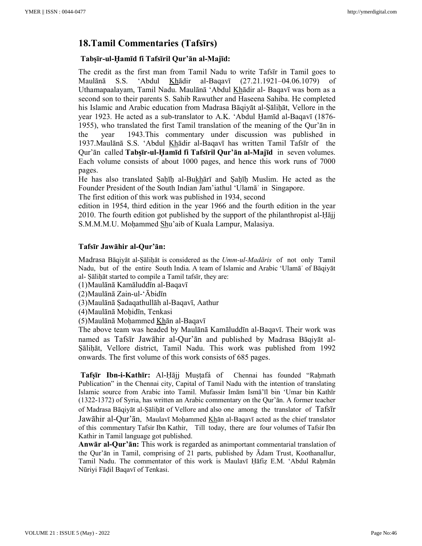## **18.Tamil Commentaries (Tafsīrs)**

## **Tabṣīr-ul-Ḥamīd fi Tafsīril Qur'ān al-Majīd:**

The credit as the first man from Tamil Nadu to write Tafsīr in Tamil goes to Maulānā S.S. 'Abdul Khādir al-Baqavī (27.21.1921–04.06.1079) of Uthamapaalayam, Tamil Nadu. Maulānā 'Abdul Khādir al- Baqavī was born as a second son to their parents S. Sahib Rawuther and Haseena Sahiba. He completed his Islamic and Arabic education from Madrasa Bāqiyāt al-Sālihāt, Vellore in the year 1923. He acted as a sub-translator to A.K. 'Abdul Ḥamīd al-Baqavī (1876- 1955), who translated the first Tamil translation of the meaning of the Qur'ān in the year 1943.This commentary under discussion was published in 1937.Maulānā S.S. 'Abdul Khādir al-Baqavī has written Tamil Tafsīr of the Qur'ān called **Tabṣīr-ul-Ḥamīd fi Tafsīril Qur'ān al-Majīd** in seven volumes. Each volume consists of about 1000 pages, and hence this work runs of 7000 pages.

He has also translated Ṣaḥīḥ al-Bukhārī and Ṣaḥīḥ Muslim. He acted as the Founder President of the South Indian Jam'iathul 'Ulamāʾ in Singapore.

The first edition of this work was published in 1934, second

edition in 1954, third edition in the year 1966 and the fourth edition in the year 2010. The fourth edition got published by the support of the philanthropist al-Ḥājj S.M.M.M.U. Moḥammed Shu'aib of Kuala Lampur, Malasiya.

### **Tafsīr Jawāhir al-Qur'ān:**

Madrasa Bāqiyāt al-Ṣāliḥāt is considered as the *Umm-ul-Madāris* of not only Tamil Nadu, but of the entire South India. A team of Islamic and Arabic 'Ulamāʾ of Bāqiyāt al- Ṣāliḥāt started to compile a Tamil tafsīr, they are:

(1)Maulānā Kamāluddīn al-Baqavī

 $(2)$ Maulānā Zain-ul-'Ābidīn

(3)Maulānā Ṣadaqathullāh al-Baqavī, Aathur

(4)Maulānā Moḥidīn, Tenkasi

(5)Maulānā Moḥammed Khān al-Baqavī

The above team was headed by Maulānā Kamāluddīn al-Baqavī. Their work was named as Tafsīr Jawāhir al-Qur'ān and published by Madrasa Bāqiyāt al-Ṣāliḥāt, Vellore district, Tamil Nadu. This work was published from 1992 onwards. The first volume of this work consists of 685 pages.

**Tafṣīr Ibn-i-Kathīr:** Al-Ḥājj Muṣṭafá of Chennai has founded "Raḥmath Publication" in the Chennai city, Capital of Tamil Nadu with the intention of translating Islamic source from Arabic into Tamil. Mufassir Imām Ismā'īl bin 'Umar bin Kathīr (1322-1372) of Syria, has written an Arabic commentary on the Qur'ān. A former teacher of Madrasa Bāqiyāt al-Ṣāliḥāt of Vellore and also one among the translator of Tafsīr Jawāhir al-Qur'ān, Maulavī Moḥammed Khān al-Baqavī acted as the chief translator of this commentary Tafsir Ibn Kathir, Till today, there are four volumes of Tafsir Ibn Kathir in Tamil language got published.

**Anwār al-Qur'ān:** This work is regarded as animportant commentarial translation of the Qur'ān in Tamil, comprising of 21 parts, published by  $\bar{A}$ dam Trust, Koothanallur, Tamil Nadu. The commentator of this work is Maulavī Ḥāfiẓ E.M. 'Abdul Raḥmān Nūriyi Fāḍil Baqavī of Tenkasi.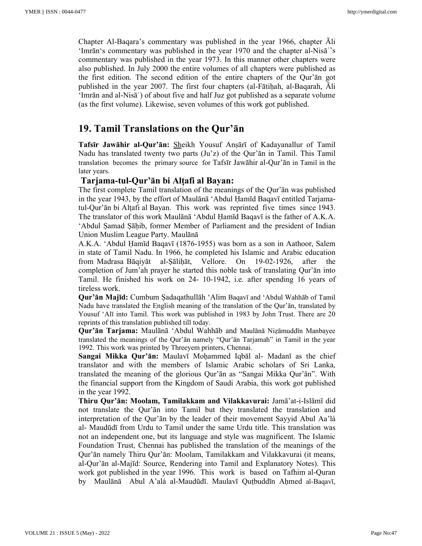Chapter Al-Baqara's commentary was published in the year 1966, chapter Ali 'Imrān's commentary was published in the year 1970 and the chapter al-Nisāʾ's commentary was published in the year 1973. In this manner other chapters were also published. In July 2000 the entire volumes of all chapters were published as the first edition. The second edition of the entire chapters of the Qur'ān got published in the year 2007. The first four chapters (al-Fātiḥah, al-Baqarah, Āli 'Imrān and al-Nisāʾ) of about five and half Juz got published as a separate volume (as the first volume). Likewise, seven volumes of this work got published.

# **19. Tamil Translations on the Qur'ān**

**Tafsīr Jawāhir al-Qur'ān:** Sheikh Yousuf Anṣārī of Kadayanallur of Tamil Nadu has translated twenty two parts (Ju'z) of the Qur'ān in Tamil. This Tamil translation becomes the primary source for Tafsīr Jawāhir al-Qur'ān in Tamil in the later years.

## **Tarjama-tul-Qur'ān bi Alṭafi al Bayan:**

The first complete Tamil translation of the meanings of the Qur'ān was published in the year 1943, by the effort of Maulānā 'Abdul Ḥamīd Baqavī entitled Tarjamatul-Qur'ān bi Alṭafi al Bayan. This work was reprinted five times since 1943. The translator of this work Maulānā 'Abdul Ḥamīd Baqavī is the father of A.K.A. 'Abdul Ṣamad Ṣāḥib, former Member of Parliament and the president of Indian Union Muslim League Party. Maulānā

A.K.A. 'Abdul Ḥamīd Baqavī (1876-1955) was born as a son in Aathoor, Salem in state of Tamil Nadu. In 1966, he completed his Islamic and Arabic education from Madrasa Bāqiyāt al-Ṣāliḥāt, Vellore. On 19-02-1926, after the completion of Jum'ah prayer he started this noble task of translating Qur'ān into Tamil. He finished his work on 24- 10-1942, i.e. after spending 16 years of tireless work.

**Qur'ān Majīd:** Cumbum Ṣadaqathullāh 'Alim Baqavī and 'Abdul Wahhāb of Tamil Nadu have translated the English meaning of the translation of the Qur'ān, translated by Yousuf 'Alī into Tamil. This work was published in 1983 by John Trust. There are 20 reprints of this translation published till today.

**Qur'ān Tarjama:** Maulānā 'Abdul Wahhāb and Maulānā Niẓāmuddīn Manbayee translated the meanings of the Qur'ān namely "Qur'ān Tarjamah" in Tamil in the year 1992. This work was printed by Threeyem printers, Chennai.

**Sangai Mikka Qur'ān:** Maulavī Moḥammed Iqbāl al- Madanī as the chief translator and with the members of Islamic Arabic scholars of Sri Lanka, translated the meaning of the glorious Qur'ān as "Sangai Mikka Qur'ān". With the financial support from the Kingdom of Saudi Arabia, this work got published in the year 1992.

**Thiru Qur'ān: Moolam, Tamilakkam and Vilakkavurai:** Jamā'at-i-Islāmī did not translate the Qur'ān into Tamil but they translated the translation and interpretation of the Qur'ān by the leader of their movement Sayyid Abul Aa'lá al- Maudūdī from Urdu to Tamil under the same Urdu title. This translation was not an independent one, but its language and style was magnificent. The Islamic Foundation Trust, Chennai has published the translation of the meanings of the Qur'ān namely Thiru Qur'ān: Moolam, Tamilakkam and Vilakkavurai (it means, al-Qur'ān al-Majīd: Source, Rendering into Tamil and Explanatory Notes). This work got published in the year 1996. This work is based on Tafhim al-Quran by Maulānā Abul A'alá al-Maudūdī. Maulavī Quṭbuddīn Aḥmed al-Baqavī,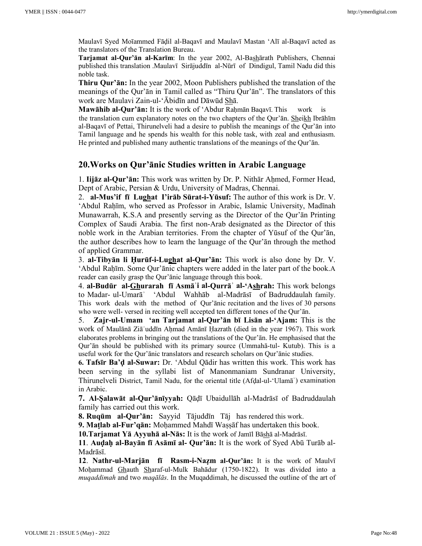Maulavī Syed Moīammed Fāḍil al-Baqavī and Maulavī Mastan 'Alī al-Baqavī acted as the translators of the Translation Bureau.

**Tarjamat al-Qur'ān al-Karīm**: In the year 2002, Al-Bashārath Publishers, Chennai published this translation .Maulavī Sirājuddīn al-Nūrī of Dindigul, Tamil Nadu did this noble task.

**Thiru Qur'ān:** In the year 2002, Moon Publishers published the translation of the meanings of the Qur'ān in Tamil called as "Thiru Qur'ān". The translators of this work are Maulavi Zain-ul-'Ābidīn and Dāwūd Shā.

**Mawāhib al-Qur'ān:** It is the work of 'Abdur Raḥmān Baqavī. This work is the translation cum explanatory notes on the two chapters of the Qur'ān. Sheikh Ibrāhīm al-Baqavī of Pettai, Thirunelveli had a desire to publish the meanings of the Qur'ān into Tamil language and he spends his wealth for this noble task, with zeal and enthusiasm. He printed and published many authentic translations of the meanings of the Qur'ān.

## **20.Works on Qur'ānic Studies written in Arabic Language**

1. **Iijāz al-Qur'ān:** This work was written by Dr. P. Nithār Aḥmed, Former Head, Dept of Arabic, Persian & Urdu, University of Madras, Chennai.

2. **al-Mus'if fī Lughat I'irāb Sūrat-i-Yūsuf:** The author of this work is Dr. V. 'Abdul Rahīm, who served as Professor in Arabic, Islamic University, Madīnah Munawarrah, K.S.A and presently serving as the Director of the Qur'ān Printing Complex of Saudi Arabia. The first non-Arab designated as the Director of this noble work in the Arabian territories. From the chapter of Yūsuf of the Qur'ān, the author describes how to learn the language of the Qur'ān through the method of applied Grammar.

3. **al-Tibyān li Ḥurūf-i-Lughat al-Qur'ān:** This work is also done by Dr. V. 'Abdul Raḥīm. Some Qur'ānic chapters were added in the later part of the book.A reader can easily grasp the Qur'ānic language through this book.

4. **al-Budūr al-Ghurarah fī Asmāʾi al-Qurrāʾ al-'Ashrah:** This work belongs to Madar- ul-Umarāʾ 'Abdul Wahhāb al-Madrāsī of Badruddaulah family. This work deals with the method of Qur'ānic recitation and the lives of 30 persons who were well- versed in reciting well accepted ten different tones of the Qur'ān.

5. **Zajr-ul-Umam 'an Tarjamat al-Qur'ān bī Lisān al-'Ajam:** This is the work of Maulānā Ziā'uddīn Ahmad Amānī Hazrath (died in the year 1967). This work elaborates problems in bringing out the translations of the Qur'ān. He emphasised that the Qur'ān should be published with its primary source (Ummahā-tul- Kutub). This is a useful work for the Qur'ānic translators and research scholars on Qur'ānic studies.

**6. Tafsīr Ba'ḍ al-Suwar:** Dr. 'Abdul Qādir has written this work. This work has been serving in the syllabi list of Manonmaniam Sundranar University, Thirunelveli District, Tamil Nadu, for the oriental title (Afḍal-ul-'Ulamāʾ) examination in Arabic.

**7. Al-Ṣalawāt al-Qur'ānīyyah:** Qāḍī Ubaidullāh al-Madrāsī of Badruddaulah family has carried out this work.

**8. Ruqūm al-Qur'ān:** Sayyid Tājuddīn Tāj has rendered this work.

**9. Matlab al-Fur'qān:** Mohammed Mahdī Wassāf has undertaken this book.

**10.Tarjamat Yā Ayyuhā al-Nās:** It is the work of Jamīl Bāshā al-Madrāsī.

**11**. **Auḍaḥ al-Bayān fī Asāmī al- Qur'ān:** It is the work of Syed Abū Turāb al-Madrāsī.

**12**. **Nathr-ul-Marjān fī Rasm-i-Naẓm al-Qur'ān:** It is the work of Maulvī Moḥammad Ghauth Sharaf-ul-Mulk Bahādur (1750-1822). It was divided into a *muqaddimah* and two *maqālās*. In the Muqaddimah, he discussed the outline of the art of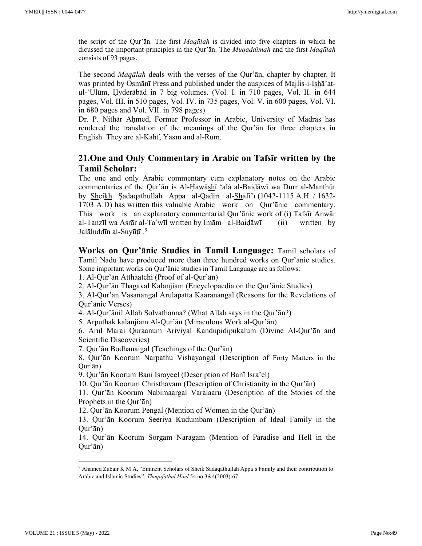the script of the Qur'ān. The first *Maqālah* is divided into five chapters in which he dicussed the important principles in the Qur'ān. The *Muqaddimah* and the first *Maqālah*  consists of 93 pages.

The second *Maqālah* deals with the verses of the Qur'ān, chapter by chapter. It was printed by Osmānī Press and published under the auspices of Majlis-i-Ishā'atul-'Ulūm, Ḥyderābād in 7 big volumes. (Vol. I. in 710 pages, Vol. II. in 644 pages, Vol. III. in 510 pages, Vol. IV. in 735 pages, Vol. V. in 600 pages, Vol. VI. in 680 pages and Vol. VII. in 798 pages)

Dr. P. Nithār Ahmed, Former Professor in Arabic, University of Madras has rendered the translation of the meanings of the Qur'ān for three chapters in English. They are al-Kahf, Yāsīn and al-Rūm.

## **21.One and Only Commentary in Arabic on Tafsīr written by the Tamil Scholar:**

The one and only Arabic commentary cum explanatory notes on the Arabic commentaries of the Qur'ān is Al-Ḥawāshī 'alá al-Baiḍāwī wa Durr al-Manthūr by Sheikh Ṣadaqathullāh Appa al-Qādirī al-Shāfi'ī (1042-1115 A.H. / 1632- 1703 A.D) has written this valuable Arabic work on Qur'ānic commentary. This work is an explanatory commentarial Qur'ānic work of (i) Tafsīr Anwār al-Tanzīl wa Asrār al-Taʾwīl written by Imām al-Baiḍāwī (ii) written by Jalāluddīn al-Suyūṭī .<sup>9</sup>

**Works on Qur'ānic Studies in Tamil Language:** Tamil scholars of Tamil Nadu have produced more than three hundred works on Qur'ānic studies. Some important works on Qur'ānic studies in Tamil Language are as follows:

1. Al-Qur'ān Atthaatchi (Proof of al-Qur'ān)

2. Al-Qur'ān Thagaval Kalanjiam (Encyclopaedia on the Qur'ānic Studies)

3. Al-Qur'ān Vasanangal Arulapatta Kaaranangal (Reasons for the Revelations of Qur'ānic Verses)

4. Al-Qur'ānil Allah Solvathanna? (What Allah says in the Qur'ān?)

5. Arputhak kalanjiam Al-Qur'ān (Miraculous Work al-Qur'ān)

6. Arul Marai Quraanum Ariviyal Kandupidipukalum (Divine Al-Qur'ān and Scientific Discoveries)

7. Qur'ān Bodhanaigal (Teachings of the Qur'ān)

8. Qur'ān Koorum Narpathu Vishayangal (Description of Forty Matters in the Qur'ān)

9. Qur'ān Koorum Bani Israyeel (Description of Banī Isra'el)

10. Qur'ān Koorum Christhavam (Description of Christianity in the Qur'ān)

11. Qur'ān Koorum Nabimaargal Varalaaru (Description of the Stories of the Prophets in the Qur'ān)

12. Qur'ān Koorum Pengal (Mention of Women in the Qur'ān)

13. Qur'ān Koorum Seeriya Kudumbam (Description of Ideal Family in the Qur'ān)

14. Qur'ān Koorum Sorgam Naragam (Mention of Paradise and Hell in the Qur'ān)

<sup>9</sup> Ahamed Zubair K M A, "Eminent Scholars of Sheik Sadaqathullah Appa's Family and their contribution to Arabic and Islamic Studies", *Thaqafathul Hind* 54,no.3&4(2003):67.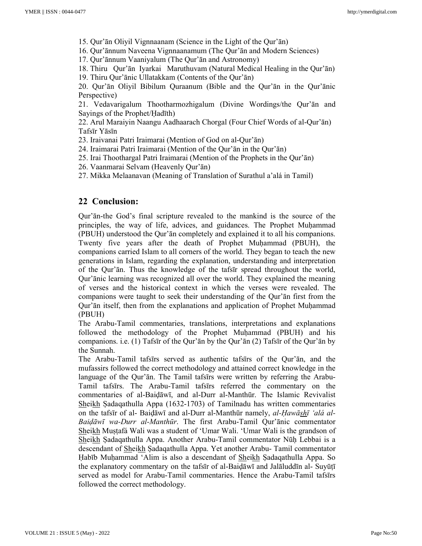15. Qur'ān Oliyil Vignnaanam (Science in the Light of the Qur'ān)

16. Qur'ānnum Naveena Vignnaanamum (The Qur'ān and Modern Sciences)

17. Qur'ānnum Vaaniyalum (The Qur'ān and Astronomy)

18. Thiru Qur'ān Iyarkai Maruthuvam (Natural Medical Healing in the Qur'ān) 19. Thiru Qur'ānic Ullatakkam (Contents of the Qur'ān)

20. Qur'ān Oliyil Bibilum Quraanum (Bible and the Qur'ān in the Qur'ānic Perspective)

21. Vedavarigalum Thootharmozhigalum (Divine Wordings/the Qur'ān and Sayings of the Prophet/Ḥadīth)

22. Arul Maraiyin Naangu Aadhaarach Chorgal (Four Chief Words of al-Qur'ān) Tafsīr Yāsīn

23. Iraivanai Patri Iraimarai (Mention of God on al-Qur'ān)

24. Iraimarai Patri Iraimarai (Mention of the Qur'ān in the Qur'ān)

25. Irai Thoothargal Patri Iraimarai (Mention of the Prophets in the Qur'ān)

26. Vaanmarai Selvam (Heavenly Qur'ān)

27. Mikka Melaanavan (Meaning of Translation of Surathul a'alá in Tamil)

### **22 Conclusion:**

Qur'ān-the God's final scripture revealed to the mankind is the source of the principles, the way of life, advices, and guidances. The Prophet Muhammad (PBUH) understood the Qur'ān completely and explained it to all his companions. Twenty five years after the death of Prophet Muḥammad (PBUH), the companions carried Islam to all corners of the world. They began to teach the new generations in Islam, regarding the explanation, understanding and interpretation of the Qur'ān. Thus the knowledge of the tafsīr spread throughout the world, Qur'ānic learning was recognized all over the world. They explained the meaning of verses and the historical context in which the verses were revealed. The companions were taught to seek their understanding of the Qur'ān first from the Qur'ān itself, then from the explanations and application of Prophet Muḥammad (PBUH)

The Arabu-Tamil commentaries, translations, interpretations and explanations followed the methodology of the Prophet Muḥammad (PBUH) and his companions. i.e. (1) Tafsīr of the Qur'ān by the Qur'ān (2) Tafsīr of the Qur'ān by the Sunnah.

The Arabu-Tamil tafsīrs served as authentic tafsīrs of the Qur'ān, and the mufassirs followed the correct methodology and attained correct knowledge in the language of the Qur'ān. The Tamil tafsīrs were written by referring the Arabu-Tamil tafsīrs. The Arabu-Tamil tafsīrs referred the commentary on the commentaries of al-Baiḍāwī, and al-Durr al-Manthūr. The Islamic Revivalist Sheikh Ṣadaqathulla Appa (1632-1703) of Tamilnadu has written commentaries on the tafsīr of al- Baiḍāwī and al-Durr al-Manthūr namely, *al-Ḥawāshī 'alá al-Baiḍāwī wa-Durr al-Manthūr*. The first Arabu-Tamil Qur'ānic commentator Sheikh Muṣṭafá Wali was a student of 'Umar Wali. 'Umar Wali is the grandson of Sheikh Ṣadaqathulla Appa. Another Arabu-Tamil commentator Nūḥ Lebbai is a descendant of Sheikh Ṣadaqathulla Appa. Yet another Arabu- Tamil commentator Habīb Muhammad 'Alim is also a descendant of Sheikh Sadaqathulla Appa. So the explanatory commentary on the tafsīr of al-Baiḍāwī and Jalāluddīn al- Suyūṭī served as model for Arabu-Tamil commentaries. Hence the Arabu-Tamil tafsīrs followed the correct methodology.